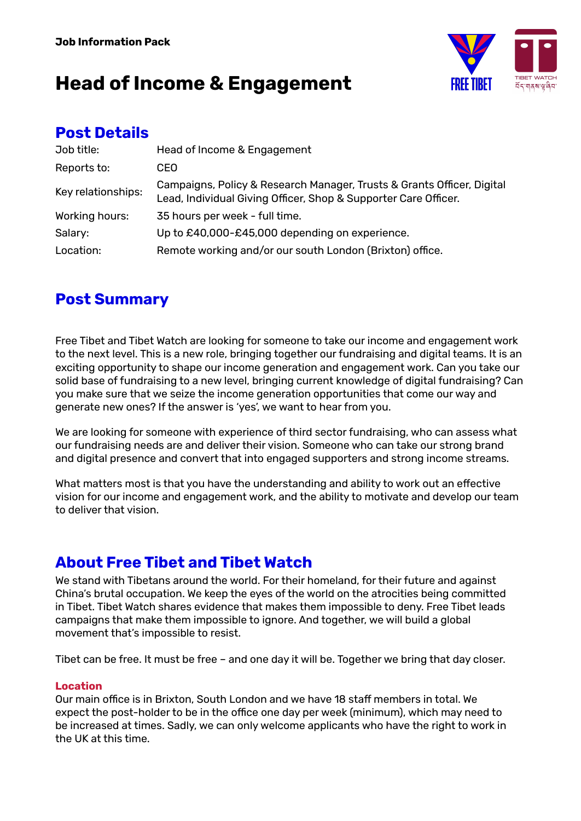

### **Post Details**

| Job title:         | Head of Income & Engagement                                                                                                               |
|--------------------|-------------------------------------------------------------------------------------------------------------------------------------------|
| Reports to:        | CEO                                                                                                                                       |
| Key relationships: | Campaigns, Policy & Research Manager, Trusts & Grants Officer, Digital<br>Lead, Individual Giving Officer, Shop & Supporter Care Officer. |
| Working hours:     | 35 hours per week - full time.                                                                                                            |
| Salary:            | Up to £40,000-£45,000 depending on experience.                                                                                            |
| Location:          | Remote working and/or our south London (Brixton) office.                                                                                  |

## **Post Summary**

Free Tibet and Tibet Watch are looking for someone to take our income and engagement work to the next level. This is a new role, bringing together our fundraising and digital teams. It is an exciting opportunity to shape our income generation and engagement work. Can you take our solid base of fundraising to a new level, bringing current knowledge of digital fundraising? Can you make sure that we seize the income generation opportunities that come our way and generate new ones? If the answer is 'yes', we want to hear from you.

We are looking for someone with experience of third sector fundraising, who can assess what our fundraising needs are and deliver their vision. Someone who can take our strong brand and digital presence and convert that into engaged supporters and strong income streams.

What matters most is that you have the understanding and ability to work out an effective vision for our income and engagement work, and the ability to motivate and develop our team to deliver that vision.

## **About Free Tibet and Tibet Watch**

We stand with Tibetans around the world. For their homeland, for their future and against China's brutal occupation. We keep the eyes of the world on the atrocities being committed in Tibet. Tibet Watch shares evidence that makes them impossible to deny. Free Tibet leads campaigns that make them impossible to ignore. And together, we will build a global movement that's impossible to resist.

Tibet can be free. It must be free – and one day it will be. Together we bring that day closer.

#### **Location**

Our main office is in Brixton, South London and we have 18 staff members in total. We expect the post-holder to be in the office one day per week (minimum), which may need to be increased at times. Sadly, we can only welcome applicants who have the right to work in the UK at this time.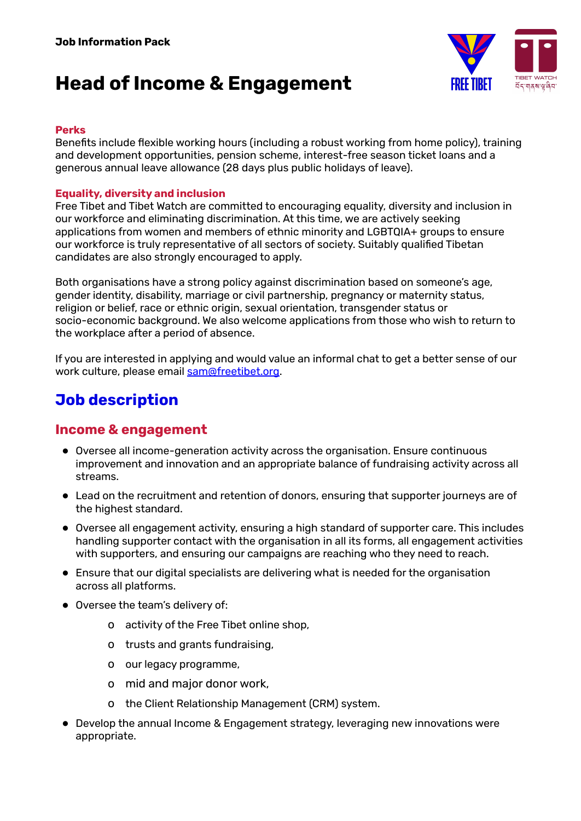

#### **Perks**

Benefits include flexible working hours (including a robust working from home policy), training and development opportunities, pension scheme, interest-free season ticket loans and a generous annual leave allowance (28 days plus public holidays of leave).

#### **Equality, diversity and inclusion**

Free Tibet and Tibet Watch are committed to encouraging equality, diversity and inclusion in our workforce and eliminating discrimination. At this time, we are actively seeking applications from women and members of ethnic minority and LGBTQIA+ groups to ensure our workforce is truly representative of all sectors of society. Suitably qualified Tibetan candidates are also strongly encouraged to apply.

Both organisations have a strong policy against discrimination based on someone's age, gender identity, disability, marriage or civil partnership, pregnancy or maternity status, religion or belief, race or ethnic origin, sexual orientation, transgender status or socio-economic background. We also welcome applications from those who wish to return to the workplace after a period of absence.

If you are interested in applying and would value an informal chat to get a better sense of our work culture, please email [sam@freetibet.org.](mailto:sam@freetibet.org)

## **Job description**

### **Income & engagement**

- Oversee all income-generation activity across the organisation. Ensure continuous improvement and innovation and an appropriate balance of fundraising activity across all streams.
- Lead on the recruitment and retention of donors, ensuring that supporter journeys are of the highest standard.
- Oversee all engagement activity, ensuring a high standard of supporter care. This includes handling supporter contact with the organisation in all its forms, all engagement activities with supporters, and ensuring our campaigns are reaching who they need to reach.
- Ensure that our digital specialists are delivering what is needed for the organisation across all platforms.
- Oversee the team's delivery of:
	- o activity of the Free Tibet online shop,
	- o trusts and grants fundraising,
	- o our legacy programme,
	- o mid and major donor work,
	- o the Client Relationship Management (CRM) system.
- Develop the annual Income & Engagement strategy, leveraging new innovations were appropriate.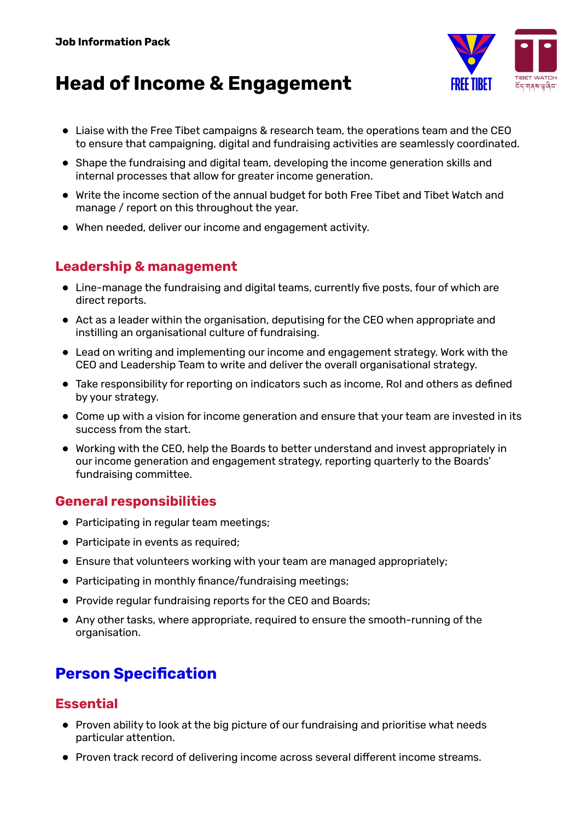

- Liaise with the Free Tibet campaigns & research team, the operations team and the CEO to ensure that campaigning, digital and fundraising activities are seamlessly coordinated.
- Shape the fundraising and digital team, developing the income generation skills and internal processes that allow for greater income generation.
- Write the income section of the annual budget for both Free Tibet and Tibet Watch and manage / report on this throughout the year.
- When needed, deliver our income and engagement activity.

### **Leadership & management**

- Line-manage the fundraising and digital teams, currently five posts, four of which are direct reports.
- Act as a leader within the organisation, deputising for the CEO when appropriate and instilling an organisational culture of fundraising.
- Lead on writing and implementing our income and engagement strategy. Work with the CEO and Leadership Team to write and deliver the overall organisational strategy.
- Take responsibility for reporting on indicators such as income, RoI and others as defined by your strategy.
- Come up with a vision for income generation and ensure that your team are invested in its success from the start.
- Working with the CEO, help the Boards to better understand and invest appropriately in our income generation and engagement strategy, reporting quarterly to the Boards' fundraising committee.

### **General responsibilities**

- Participating in regular team meetings;
- Participate in events as required;
- Ensure that volunteers working with your team are managed appropriately;
- Participating in monthly finance/fundraising meetings;
- Provide regular fundraising reports for the CEO and Boards;
- Any other tasks, where appropriate, required to ensure the smooth-running of the organisation.

## **Person Specification**

### **Essential**

- Proven ability to look at the big picture of our fundraising and prioritise what needs particular attention.
- Proven track record of delivering income across several different income streams.